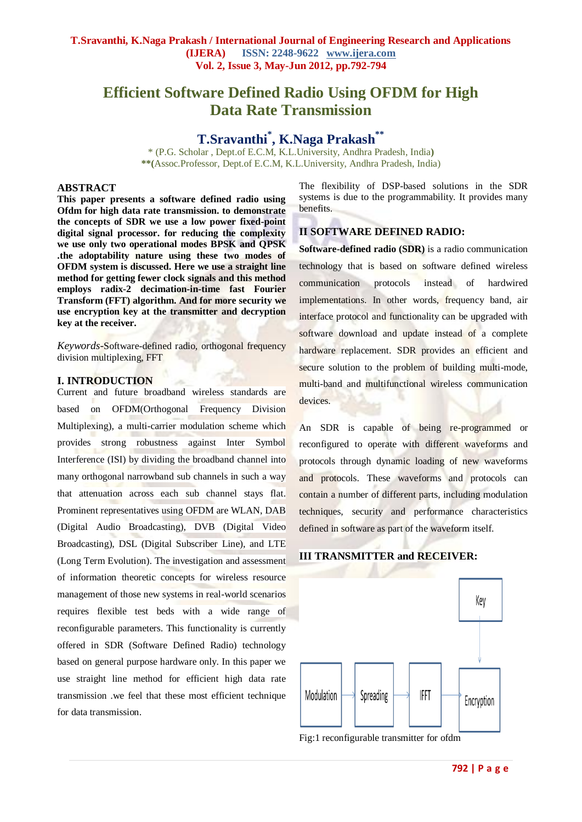# **Efficient Software Defined Radio Using OFDM for High Data Rate Transmission**

# **T.Sravanthi\* , K.Naga Prakash\*\***

\* (P.G. Scholar , Dept.of E.C.M, K.L.University, Andhra Pradesh, India**) \*\*(**Assoc.Professor, Dept.of E.C.M, K.L.University, Andhra Pradesh, India)

# **ABSTRACT**

**This paper presents a software defined radio using Ofdm for high data rate transmission. to demonstrate the concepts of SDR we use a low power fixed-point digital signal processor. for reducing the complexity we use only two operational modes BPSK and QPSK .the adoptability nature using these two modes of OFDM system is discussed. Here we use a straight line method for getting fewer clock signals and this method employs radix-2 decimation-in-time fast Fourier Transform (FFT) algorithm. And for more security we use encryption key at the transmitter and decryption key at the receiver.**

*Keywords-*Software-defined radio, orthogonal frequency division multiplexing, FFT

#### **I. INTRODUCTION**

Current and future broadband wireless standards are based on OFDM(Orthogonal Frequency Division Multiplexing), a multi-carrier modulation scheme which provides strong robustness against Inter Symbol Interference (ISI) by dividing the broadband channel into many orthogonal narrowband sub channels in such a way that attenuation across each sub channel stays flat. Prominent representatives using OFDM are WLAN, DAB (Digital Audio Broadcasting), DVB (Digital Video Broadcasting), DSL (Digital Subscriber Line), and LTE (Long Term Evolution). The investigation and assessment of information theoretic concepts for wireless resource management of those new systems in real-world scenarios requires flexible test beds with a wide range of reconfigurable parameters. This functionality is currently offered in SDR (Software Defined Radio) technology based on general purpose hardware only. In this paper we use straight line method for efficient high data rate transmission .we feel that these most efficient technique for data transmission.

The flexibility of DSP-based solutions in the SDR systems is due to the programmability. It provides many benefits.

## **II SOFTWARE DEFINED RADIO:**

**Software-defined radio (SDR)** is a radio communication technology that is based on software defined wireless communication protocols instead of hardwired implementations. In other words, frequency band, air interface protocol and functionality can be upgraded with software download and update instead of a complete hardware replacement. SDR provides an efficient and secure solution to the problem of building multi-mode, multi-band and multifunctional wireless communication devices.

An SDR is capable of being re-programmed or reconfigured to operate with different waveforms and protocols through dynamic loading of new waveforms and protocols. These waveforms and protocols can contain a number of different parts, including modulation techniques, security and performance characteristics defined in software as part of the waveform itself.

# **III TRANSMITTER and RECEIVER:**



Fig:1 reconfigurable transmitter for ofdm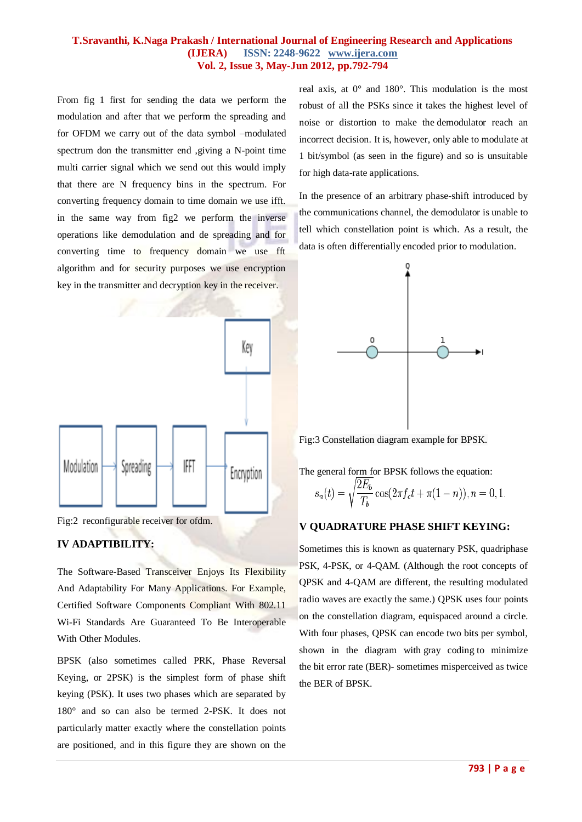### **T.Sravanthi, K.Naga Prakash / International Journal of Engineering Research and Applications (IJERA) ISSN: 2248-9622 www.ijera.com Vol. 2, Issue 3, May-Jun 2012, pp.792-794**

From fig 1 first for sending the data we perform the modulation and after that we perform the spreading and for OFDM we carry out of the data symbol –modulated spectrum don the transmitter end ,giving a N-point time multi carrier signal which we send out this would imply that there are N frequency bins in the spectrum. For converting frequency domain to time domain we use ifft. in the same way from fig2 we perform the inverse operations like demodulation and de spreading and for converting time to frequency domain we use fft algorithm and for security purposes we use encryption key in the transmitter and decryption key in the receiver.





# **IV ADAPTIBILITY:**

The Software-Based Transceiver Enjoys Its Flexibility And Adaptability For Many Applications. For Example, Certified Software Components Compliant With 802.11 Wi-Fi Standards Are Guaranteed To Be Interoperable With Other Modules.

BPSK (also sometimes called PRK, Phase Reversal Keying, or 2PSK) is the simplest form of phase shift keying (PSK). It uses two phases which are separated by 180° and so can also be termed 2-PSK. It does not particularly matter exactly where the constellation points are positioned, and in this figure they are shown on the real axis, at 0° and 180°. This modulation is the most robust of all the PSKs since it takes the highest level of noise or distortion to make the [demodulator](http://en.wikipedia.org/wiki/Demodulator) reach an incorrect decision. It is, however, only able to modulate at 1 bit/symbol (as seen in the figure) and so is unsuitable for high data-rate applications.

In the presence of an arbitrary phase-shift introduced by the [communications channel,](http://en.wikipedia.org/wiki/Communications_channel) the demodulator is unable to tell which constellation point is which. As a result, the data is often [differentially encoded](http://en.wikipedia.org/wiki/Phase-shift_keying#Differential_encoding) prior to modulation.



Fig:3 Constellation diagram example for BPSK.

The general form for BPSK follows the equation:

$$
s_n(t) = \sqrt{\frac{2E_b}{T_b}} \cos(2\pi f_c t + \pi (1 - n)), n = 0, 1.
$$

# **V QUADRATURE PHASE SHIFT KEYING:**

Sometimes this is known as quaternary PSK, quadriphase PSK, 4-PSK, or 4[-QAM.](http://en.wikipedia.org/wiki/QAM) (Although the root concepts of QPSK and 4-QAM are different, the resulting modulated radio waves are exactly the same.) QPSK uses four points on the constellation diagram, equispaced around a circle. With four phases, QPSK can encode two bits per symbol, shown in the diagram with [gray coding](http://en.wikipedia.org/wiki/Gray_coding) to minimize the [bit error rate](http://en.wikipedia.org/wiki/Bit_error_rate) (BER)- sometimes misperceived as twice the BER of BPSK.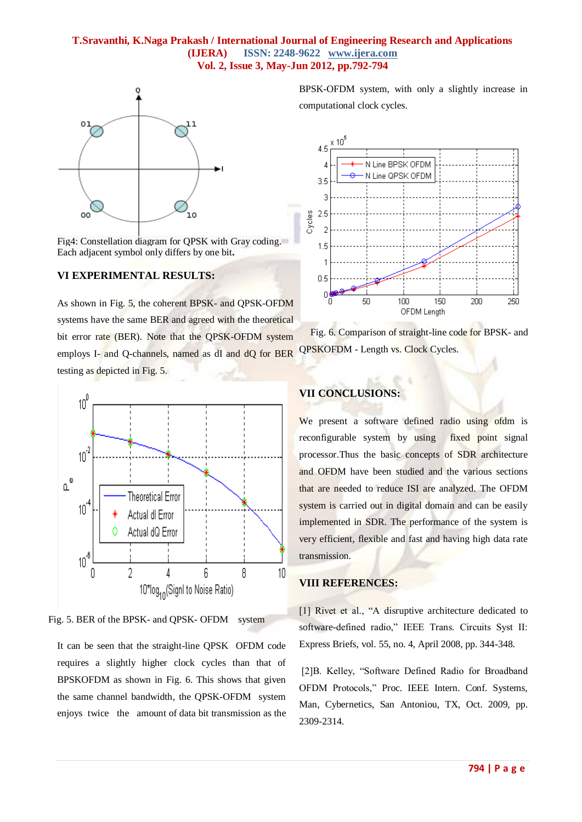## **T.Sravanthi, K.Naga Prakash / International Journal of Engineering Research and Applications (IJERA) ISSN: 2248-9622 www.ijera.com Vol. 2, Issue 3, May-Jun 2012, pp.792-794**



Fig4: Constellation diagram for QPSK wit[h Gray coding.](http://en.wikipedia.org/wiki/Gray_coding) Each adjacent symbol only differs by one bit**.**

# **VI EXPERIMENTAL RESULTS:**

As shown in Fig. 5, the coherent BPSK- and QPSK-OFDM systems have the same BER and agreed with the theoretical bit error rate (BER). Note that the QPSK-OFDM system employs I- and Q-channels, named as dI and dQ for BER testing as depicted in Fig. 5.





It can be seen that the straight-line QPSK OFDM code requires a slightly higher clock cycles than that of BPSKOFDM as shown in Fig. 6. This shows that given the same channel bandwidth, the QPSK-OFDM system enjoys twice the amount of data bit transmission as the BPSK-OFDM system, with only a slightly increase in computational clock cycles.



Fig. 6. Comparison of straight-line code for BPSK- and QPSKOFDM - Length vs. Clock Cycles.

# **VII CONCLUSIONS:**

We present a software defined radio using ofdm is reconfigurable system by using fixed point signal processor.Thus the basic concepts of SDR architecture and OFDM have been studied and the various sections that are needed to reduce ISI are analyzed. The OFDM system is carried out in digital domain and can be easily implemented in SDR. The performance of the system is very efficient, flexible and fast and having high data rate transmission.

## **VIII REFERENCES:**

[1] Rivet et al., "A disruptive architecture dedicated to software-defined radio," IEEE Trans. Circuits Syst II: Express Briefs, vol. 55, no. 4, April 2008, pp. 344-348.

[2]B. Kelley, "Software Defined Radio for Broadband OFDM Protocols," Proc. IEEE Intern. Conf. Systems, Man, Cybernetics, San Antoniou, TX, Oct. 2009, pp. 2309-2314.